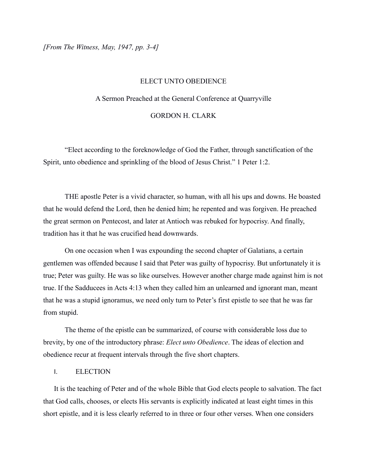*[From The Witness, May, 1947, pp. 3-4]*

#### ELECT UNTO OBEDIENCE

# A Sermon Preached at the General Conference at Quarryville

## GORDON H. CLARK

"Elect according to the foreknowledge of God the Father, through sanctification of the Spirit, unto obedience and sprinkling of the blood of Jesus Christ." 1 Peter 1:2.

THE apostle Peter is a vivid character, so human, with all his ups and downs. He boasted that he would defend the Lord, then he denied him; he repented and was forgiven. He preached the great sermon on Pentecost, and later at Antioch was rebuked for hypocrisy. And finally, tradition has it that he was crucified head downwards.

On one occasion when I was expounding the second chapter of Galatians, a certain gentlemen was offended because I said that Peter was guilty of hypocrisy. But unfortunately it is true; Peter was guilty. He was so like ourselves. However another charge made against him is not true. If the Sadducees in Acts 4:13 when they called him an unlearned and ignorant man, meant that he was a stupid ignoramus, we need only turn to Peter's first epistle to see that he was far from stupid.

The theme of the epistle can be summarized, of course with considerable loss due to brevity, by one of the introductory phrase: *Elect unto Obedience*. The ideas of election and obedience recur at frequent intervals through the five short chapters.

## I. ELECTION

It is the teaching of Peter and of the whole Bible that God elects people to salvation. The fact that God calls, chooses, or elects His servants is explicitly indicated at least eight times in this short epistle, and it is less clearly referred to in three or four other verses. When one considers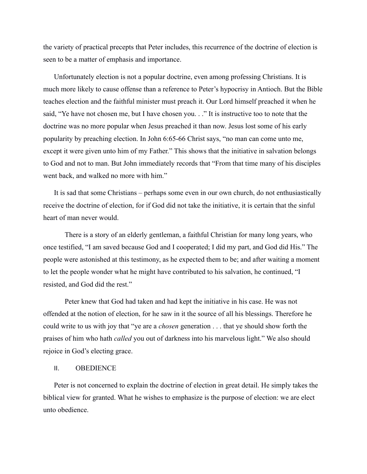the variety of practical precepts that Peter includes, this recurrence of the doctrine of election is seen to be a matter of emphasis and importance.

Unfortunately election is not a popular doctrine, even among professing Christians. It is much more likely to cause offense than a reference to Peter's hypocrisy in Antioch. But the Bible teaches election and the faithful minister must preach it. Our Lord himself preached it when he said, "Ye have not chosen me, but I have chosen you. . ." It is instructive too to note that the doctrine was no more popular when Jesus preached it than now. Jesus lost some of his early popularity by preaching election. In John 6:65-66 Christ says, "no man can come unto me, except it were given unto him of my Father." This shows that the initiative in salvation belongs to God and not to man. But John immediately records that "From that time many of his disciples went back, and walked no more with him."

It is sad that some Christians – perhaps some even in our own church, do not enthusiastically receive the doctrine of election, for if God did not take the initiative, it is certain that the sinful heart of man never would.

There is a story of an elderly gentleman, a faithful Christian for many long years, who once testified, "I am saved because God and I cooperated; I did my part, and God did His." The people were astonished at this testimony, as he expected them to be; and after waiting a moment to let the people wonder what he might have contributed to his salvation, he continued, "I resisted, and God did the rest."

Peter knew that God had taken and had kept the initiative in his case. He was not offended at the notion of election, for he saw in it the source of all his blessings. Therefore he could write to us with joy that "ye are a *chosen* generation . . . that ye should show forth the praises of him who hath *called* you out of darkness into his marvelous light." We also should rejoice in God's electing grace.

#### II. OBEDIENCE

Peter is not concerned to explain the doctrine of election in great detail. He simply takes the biblical view for granted. What he wishes to emphasize is the purpose of election: we are elect unto obedience.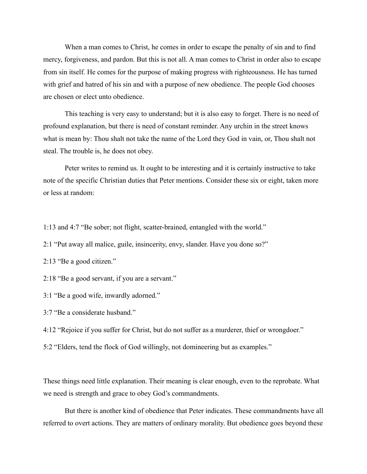When a man comes to Christ, he comes in order to escape the penalty of sin and to find mercy, forgiveness, and pardon. But this is not all. A man comes to Christ in order also to escape from sin itself. He comes for the purpose of making progress with righteousness. He has turned with grief and hatred of his sin and with a purpose of new obedience. The people God chooses are chosen or elect unto obedience.

This teaching is very easy to understand; but it is also easy to forget. There is no need of profound explanation, but there is need of constant reminder. Any urchin in the street knows what is mean by: Thou shalt not take the name of the Lord they God in vain, or, Thou shalt not steal. The trouble is, he does not obey.

Peter writes to remind us. It ought to be interesting and it is certainly instructive to take note of the specific Christian duties that Peter mentions. Consider these six or eight, taken more or less at random:

1:13 and 4:7 "Be sober; not flight, scatter-brained, entangled with the world."

2:1 "Put away all malice, guile, insincerity, envy, slander. Have you done so?"

2:13 "Be a good citizen."

2:18 "Be a good servant, if you are a servant."

3:1 "Be a good wife, inwardly adorned."

3:7 "Be a considerate husband."

4:12 "Rejoice if you suffer for Christ, but do not suffer as a murderer, thief or wrongdoer."

5:2 "Elders, tend the flock of God willingly, not domineering but as examples."

These things need little explanation. Their meaning is clear enough, even to the reprobate. What we need is strength and grace to obey God's commandments.

But there is another kind of obedience that Peter indicates. These commandments have all referred to overt actions. They are matters of ordinary morality. But obedience goes beyond these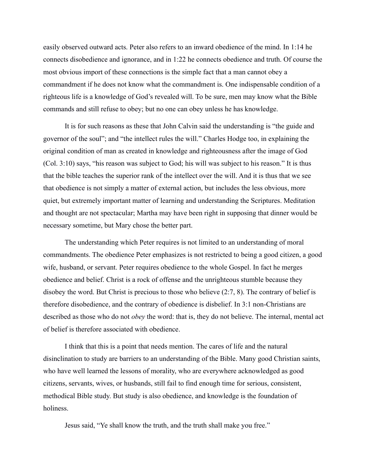easily observed outward acts. Peter also refers to an inward obedience of the mind. In 1:14 he connects disobedience and ignorance, and in 1:22 he connects obedience and truth. Of course the most obvious import of these connections is the simple fact that a man cannot obey a commandment if he does not know what the commandment is. One indispensable condition of a righteous life is a knowledge of God's revealed will. To be sure, men may know what the Bible commands and still refuse to obey; but no one can obey unless he has knowledge.

It is for such reasons as these that John Calvin said the understanding is "the guide and governor of the soul"; and "the intellect rules the will." Charles Hodge too, in explaining the original condition of man as created in knowledge and righteousness after the image of God (Col. 3:10) says, "his reason was subject to God; his will was subject to his reason." It is thus that the bible teaches the superior rank of the intellect over the will. And it is thus that we see that obedience is not simply a matter of external action, but includes the less obvious, more quiet, but extremely important matter of learning and understanding the Scriptures. Meditation and thought are not spectacular; Martha may have been right in supposing that dinner would be necessary sometime, but Mary chose the better part.

The understanding which Peter requires is not limited to an understanding of moral commandments. The obedience Peter emphasizes is not restricted to being a good citizen, a good wife, husband, or servant. Peter requires obedience to the whole Gospel. In fact he merges obedience and belief. Christ is a rock of offense and the unrighteous stumble because they disobey the word. But Christ is precious to those who believe (2:7, 8). The contrary of belief is therefore disobedience, and the contrary of obedience is disbelief. In 3:1 non-Christians are described as those who do not *obey* the word: that is, they do not believe. The internal, mental act of belief is therefore associated with obedience.

I think that this is a point that needs mention. The cares of life and the natural disinclination to study are barriers to an understanding of the Bible. Many good Christian saints, who have well learned the lessons of morality, who are everywhere acknowledged as good citizens, servants, wives, or husbands, still fail to find enough time for serious, consistent, methodical Bible study. But study is also obedience, and knowledge is the foundation of holiness.

Jesus said, "Ye shall know the truth, and the truth shall make you free."